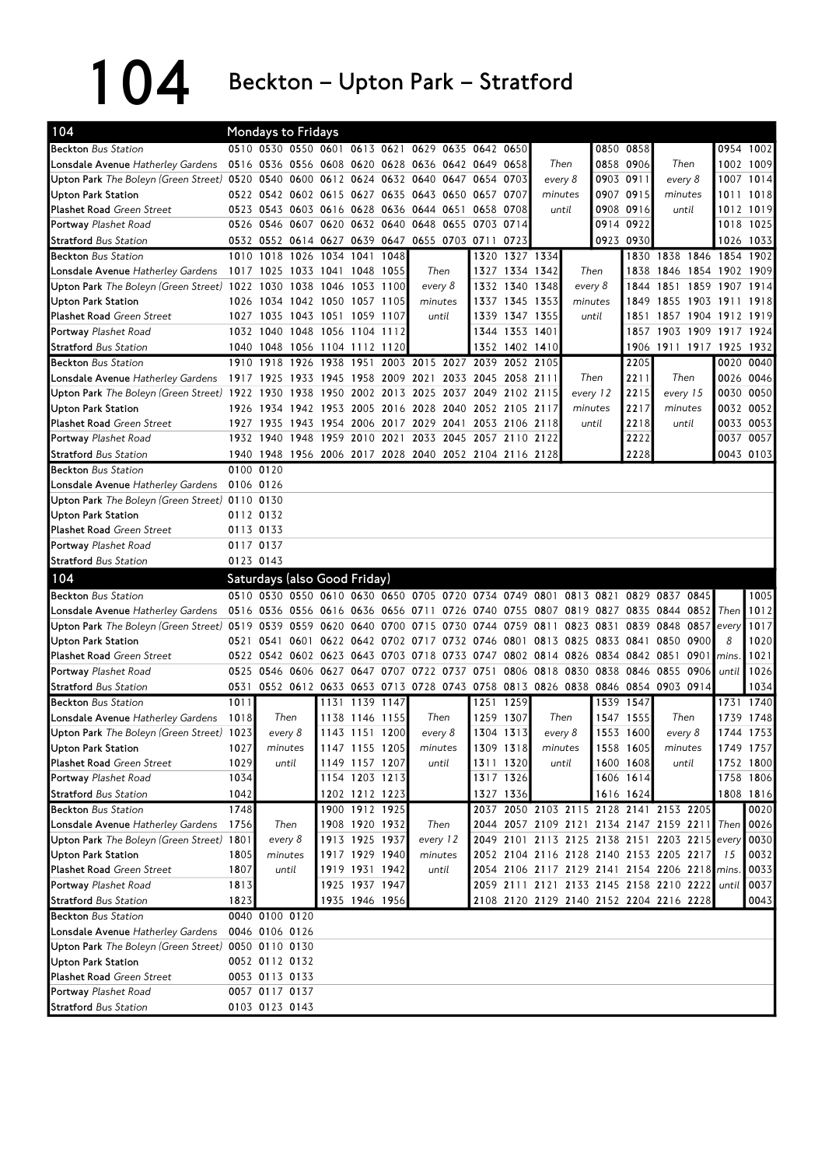104 Beckton – Upton Park – Stratford

| 104                                                                                    | Mondays to Fridays           |                                  |           |           |                |                                                             |                |                               |           |          |           |                                                                                 |                |                                             |
|----------------------------------------------------------------------------------------|------------------------------|----------------------------------|-----------|-----------|----------------|-------------------------------------------------------------|----------------|-------------------------------|-----------|----------|-----------|---------------------------------------------------------------------------------|----------------|---------------------------------------------|
| <b>Beckton Bus Station</b>                                                             |                              | 0510 0530 0550 0601 0613 0621    |           |           |                | 0629 0635 0642 0650                                         |                |                               |           |          | 0850 0858 |                                                                                 |                | 0954 1002                                   |
| Lonsdale Avenue Hatherley Gardens                                                      |                              |                                  |           |           |                | 0516 0536 0556 0608 0620 0628 0636 0642 0649 0658           |                |                               | Then      |          | 0858 0906 | Then                                                                            |                | 1002 1009                                   |
| Upton Park The Boleyn (Green Street) 0520 0540 0600 0612 0624 0632 0640 0647 0654 0703 |                              |                                  |           |           |                |                                                             |                |                               | every 8   |          | 0903 0911 | every 8                                                                         |                | 1007 1014                                   |
| <b>Upton Park Station</b>                                                              |                              |                                  |           |           |                | 0522 0542 0602 0615 0627 0635 0643 0650 0657 0707           |                |                               | minutes   |          | 0907 0915 | minutes                                                                         | 1011           | 1018                                        |
| <b>Plashet Road Green Street</b>                                                       |                              |                                  |           |           |                | 0523 0543 0603 0616 0628 0636 0644 0651 0658 0708           |                |                               | until     |          | 0908 0916 | until                                                                           |                | 1012 1019                                   |
| Portway Plashet Road                                                                   |                              |                                  |           |           |                | 0526 0546 0607 0620 0632 0640 0648 0655 0703 0714           |                |                               |           |          | 0914 0922 |                                                                                 |                | 1018 1025                                   |
| <b>Stratford Bus Station</b>                                                           |                              |                                  |           |           |                | 0532 0552 0614 0627 0639 0647 0655 0703 0711                | 0723           |                               |           |          | 0923 0930 |                                                                                 |                | 1026 1033                                   |
| <b>Beckton</b> Bus Station                                                             |                              | 1010 1018 1026 1034 1041 1048    |           |           |                |                                                             |                | 1320 1327 1334                |           |          | 1830      | 1838 1846 1854 1902                                                             |                |                                             |
| Lonsdale Avenue Hatherley Gardens                                                      |                              | 1017 1025 1033 1041 1048 1055    |           |           |                | Then                                                        |                | 1327 1334 1342                |           | Then     | 1838      | 1846                                                                            | 1854 1902 1909 |                                             |
| <b>Upton Park</b> The Boleyn (Green Street)                                            |                              | 1022 1030                        |           | 1038 1046 | 1053 1100      | every 8                                                     |                | 1332 1340 1348                | every 8   |          | 1844      | 1851 1859                                                                       | 1907           | 1914                                        |
| <b>Upton Park Station</b>                                                              |                              | 1026 1034 1042 1050 1057 1105    |           |           |                | minutes                                                     | 1337 1345 1353 |                               | minutes   |          | 1849      | 1855 1903 1911 1918                                                             |                |                                             |
| <b>Plashet Road Green Street</b>                                                       |                              | 1027 1035 1043 1051 1059 1107    |           |           |                | until                                                       | 1339 1347 1355 |                               |           | until    | 1851      | 1857 1904 1912 1919                                                             |                |                                             |
| Portway Plashet Road                                                                   |                              | 1032 1040 1048 1056 1104 1112    |           |           |                |                                                             | 1344 1353 1401 |                               |           |          | 1857      | 1903 1909 1917 1924                                                             |                |                                             |
| <b>Stratford Bus Station</b>                                                           |                              | 1040 1048 1056 1104 1112 1120    |           |           |                |                                                             | 1352 1402 1410 |                               |           |          | 1906      | 1911 1917 1925 1932                                                             |                |                                             |
| <b>Beckton</b> Bus Station                                                             |                              | 1910 1918                        | 1926 1938 |           |                | 1951 2003 2015 2027 2039                                    |                | 2052 2105                     |           |          | 2205      |                                                                                 |                | 0020 0040                                   |
| <b>Lonsdale Avenue</b> Hatherley Gardens                                               |                              |                                  |           |           |                | 1917 1925 1933 1945 1958 2009 2021 2033 2045 2058 2111      |                |                               |           | Then     | 2211      | Then                                                                            |                | 0026 0046                                   |
| Upton Park The Boleyn (Green Street)                                                   |                              | 1922 1930                        |           | 1938 1950 |                | 2002 2013 2025 2037 2049 2102 2115                          |                |                               |           | every 12 | 2215      | every 15                                                                        |                | 0030 0050                                   |
| <b>Upton Park Station</b>                                                              |                              |                                  |           |           |                | 1926 1934 1942 1953 2005 2016 2028 2040 2052 2105 2117      |                |                               |           | minutes  | 2217      | minutes                                                                         |                | 0032 0052                                   |
| <b>Plashet Road Green Street</b>                                                       |                              | 1927 1935 1943 1954              |           |           |                | 2006 2017 2029 2041 2053 2106 2118                          |                |                               |           | until    | 2218      | until                                                                           |                | 0033 0053                                   |
| Portway Plashet Road                                                                   |                              |                                  |           |           |                | 1932 1940 1948 1959 2010 2021 2033 2045 2057 2110 2122      |                |                               |           |          | 2222      |                                                                                 |                | 0037 0057                                   |
| <b>Stratford Bus Station</b>                                                           |                              |                                  |           |           |                | 1940 1948 1956 2006 2017 2028 2040 2052 2104 2116 2128      |                |                               |           |          | 2228      |                                                                                 |                | 0043 0103                                   |
| <b>Beckton</b> Bus Station                                                             |                              | 0100 0120                        |           |           |                |                                                             |                |                               |           |          |           |                                                                                 |                |                                             |
| Lonsdale Avenue Hatherley Gardens                                                      |                              | 0106 0126                        |           |           |                |                                                             |                |                               |           |          |           |                                                                                 |                |                                             |
| Upton Park The Boleyn (Green Street) 0110 0130                                         |                              |                                  |           |           |                |                                                             |                |                               |           |          |           |                                                                                 |                |                                             |
| <b>Upton Park Station</b>                                                              |                              | 0112 0132                        |           |           |                |                                                             |                |                               |           |          |           |                                                                                 |                |                                             |
| <b>Plashet Road Green Street</b>                                                       |                              | 0113 0133                        |           |           |                |                                                             |                |                               |           |          |           |                                                                                 |                |                                             |
| Portway Plashet Road                                                                   |                              | 0117 0137                        |           |           |                |                                                             |                |                               |           |          |           |                                                                                 |                |                                             |
| <b>Stratford Bus Station</b>                                                           |                              | 0123 0143                        |           |           |                |                                                             |                |                               |           |          |           |                                                                                 |                |                                             |
| 104                                                                                    | Saturdays (also Good Friday) |                                  |           |           |                |                                                             |                |                               |           |          |           |                                                                                 |                |                                             |
|                                                                                        |                              |                                  |           |           |                |                                                             |                |                               |           |          |           |                                                                                 |                |                                             |
|                                                                                        |                              |                                  |           |           |                |                                                             |                |                               |           |          |           |                                                                                 |                |                                             |
| <b>Beckton Bus Station</b>                                                             |                              |                                  |           |           |                |                                                             |                |                               |           |          |           | 0510 0530 0550 0610 0630 0650 0705 0720 0734 0749 0801 0813 0821 0829 0837 0845 |                | 1005                                        |
| <b>Lonsdale Avenue</b> Hatherley Gardens                                               |                              |                                  |           |           |                |                                                             |                |                               |           |          |           | 0516 0536 0556 0616 0636 0656 0711 0726 0740 0755 0807 0819 0827 0835 0844 0852 | Then           | 1012                                        |
| Upton Park The Boleyn (Green Street)                                                   |                              |                                  |           |           |                | 0519 0539 0559 0620 0640 0700 0715 0730 0744 0759 0811      |                |                               | 0823 0831 |          |           | 0839 0848 0857                                                                  | every          | 1017                                        |
| <b>Upton Park Station</b>                                                              |                              |                                  |           |           |                | 0521 0541 0601 0622 0642 0702 0717 0732 0746 0801 0813 0825 |                |                               |           |          |           | 0833 0841 0850 0900                                                             | 8              | 1020                                        |
| <b>Plashet Road Green Street</b>                                                       |                              |                                  |           |           |                | 0522 0542 0602 0623 0643 0703 0718 0733 0747 0802 0814 0826 |                |                               |           |          |           | 0834 0842 0851 0901                                                             | mins           | 1021                                        |
| Portway Plashet Road                                                                   |                              |                                  |           |           |                | 0525 0546 0606 0627 0647 0707 0722 0737 0751                |                | 0806 0818 0830 0838 0846 0855 |           |          |           | 0906                                                                            | until          | 1026                                        |
| <b>Stratford Bus Station</b>                                                           | 0531                         |                                  |           |           |                |                                                             |                |                               |           |          |           | 0552 0612 0633 0653 0713 0728 0743 0758 0813 0826 0838 0846 0854 0903 0914      |                | 1034                                        |
| <b>Beckton Bus Station</b>                                                             | 1011                         |                                  |           |           | 1131 1139 1147 |                                                             | 1251 1259      |                               |           |          | 1539 1547 |                                                                                 |                | 1731 1740                                   |
| Lonsdale Avenue Hatherley Gardens                                                      | 1018                         | Then                             |           |           | 1138 1146 1155 | Then                                                        | 1259 1307      |                               | Then      |          | 1547 1555 | Then                                                                            | 1739           | 1748                                        |
| Upton Park The Boleyn (Green Street) 1023                                              |                              | every 8                          |           |           | 1143 1151 1200 | every 8                                                     | 1304 1313      |                               | every 8   |          | 1553 1600 | every 8                                                                         |                |                                             |
| <b>Upton Park Station</b>                                                              | 1027                         | minutes                          |           |           | 1147 1155 1205 | minutes                                                     | 1309 1318      |                               | minutes   |          | 1558 1605 | minutes                                                                         |                | 1744 1753<br>1749 1757                      |
| <b>Plashet Road Green Street</b>                                                       | 1029                         | until                            |           |           | 1149 1157 1207 | until                                                       | 1311 1320      |                               | until     |          | 1600 1608 | until                                                                           |                |                                             |
| Portway Plashet Road                                                                   | 1034                         |                                  |           |           | 1154 1203 1213 |                                                             | 1317 1326      |                               |           |          | 1606 1614 |                                                                                 |                |                                             |
| <b>Stratford Bus Station</b>                                                           | 1042                         |                                  |           |           | 1202 1212 1223 |                                                             | 1327 1336      |                               |           |          | 1616 1624 |                                                                                 |                |                                             |
| <b>Beckton Bus Station</b>                                                             | 1748                         |                                  |           |           | 1900 1912 1925 |                                                             |                |                               |           |          |           | 2037 2050 2103 2115 2128 2141 2153 2205                                         |                | 1752 1800<br>1758 1806<br>1808 1816<br>0020 |
| Lonsdale Avenue Hatherley Gardens                                                      | 1756                         |                                  | Then      |           | 1908 1920 1932 | Then                                                        |                |                               |           |          |           | 2044 2057 2109 2121 2134 2147 2159 2211 Then                                    |                | 0026                                        |
| Upton Park The Boleyn (Green Street)                                                   | 1801                         | every 8                          |           |           | 1913 1925 1937 | every 12                                                    |                |                               |           |          |           | 2049 2101 2113 2125 2138 2151 2203 2215 every                                   |                | 0030                                        |
| <b>Upton Park Station</b>                                                              | 1805                         | minutes                          |           |           | 1917 1929 1940 | minutes                                                     |                |                               |           |          |           | 2052 2104 2116 2128 2140 2153 2205 2217                                         | 15             | 0032                                        |
| Plashet Road Green Street                                                              | 1807                         | until                            |           |           | 1919 1931 1942 | until                                                       |                |                               |           |          |           | 2054 2106 2117 2129 2141 2154 2206 2218 mins.                                   |                | 0033                                        |
| Portway Plashet Road                                                                   | 1813                         |                                  |           |           | 1925 1937 1947 |                                                             |                |                               |           |          |           | 2059 2111 2121 2133 2145 2158 2210 2222 until                                   |                | 0037                                        |
| <b>Stratford Bus Station</b>                                                           | 1823                         |                                  |           |           | 1935 1946 1956 |                                                             |                |                               |           |          |           | 2108 2120 2129 2140 2152 2204 2216 2228                                         |                | 0043                                        |
| <b>Beckton</b> Bus Station                                                             |                              | 0040 0100 0120                   |           |           |                |                                                             |                |                               |           |          |           |                                                                                 |                |                                             |
| Lonsdale Avenue Hatherley Gardens                                                      |                              | 0046 0106 0126                   |           |           |                |                                                             |                |                               |           |          |           |                                                                                 |                |                                             |
| Upton Park The Boleyn (Green Street) 0050 0110 0130                                    |                              |                                  |           |           |                |                                                             |                |                               |           |          |           |                                                                                 |                |                                             |
| <b>Upton Park Station</b>                                                              |                              | 0052 0112 0132                   |           |           |                |                                                             |                |                               |           |          |           |                                                                                 |                |                                             |
| Plashet Road Green Street                                                              |                              | 0053 0113 0133                   |           |           |                |                                                             |                |                               |           |          |           |                                                                                 |                |                                             |
| Portway Plashet Road<br><b>Stratford Bus Station</b>                                   |                              | 0057 0117 0137<br>0103 0123 0143 |           |           |                |                                                             |                |                               |           |          |           |                                                                                 |                |                                             |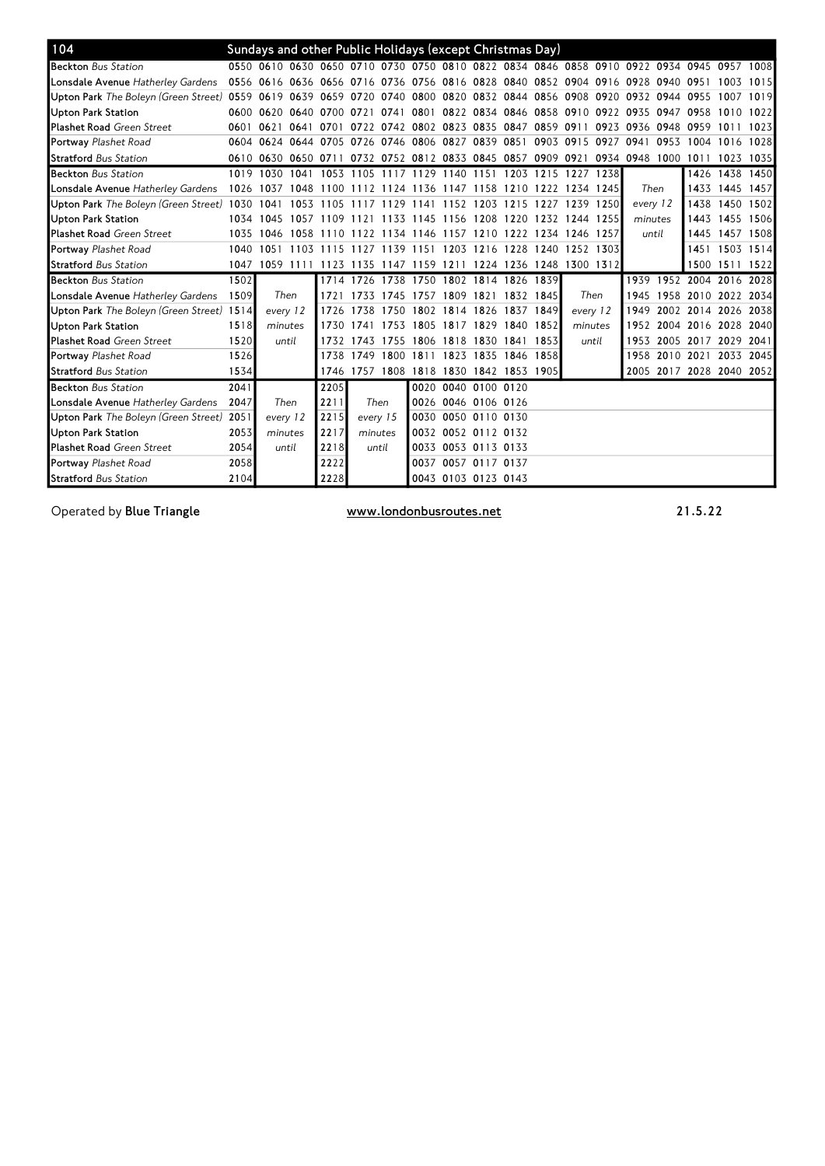| 104                                         |      | Sundays and other Public Holidays (except Christmas Day)                        |      |                     |          |                                                             |                     |                |                     |      |                          |      |                |           |                          |                |      |
|---------------------------------------------|------|---------------------------------------------------------------------------------|------|---------------------|----------|-------------------------------------------------------------|---------------------|----------------|---------------------|------|--------------------------|------|----------------|-----------|--------------------------|----------------|------|
| <b>Beckton</b> Bus Station                  |      | 0550 0610 0630 0650 0710 0730 0750 0810 0822 0834 0846 0858 0910 0922 0934 0945 |      |                     |          |                                                             |                     |                |                     |      |                          |      |                |           |                          | 0957           | 1008 |
| Lonsdale Avenue Hatherley Gardens           |      | 0556 0616 0636 0656 0716 0736 0756 0816 0828                                    |      |                     |          |                                                             |                     |                |                     |      | 0840 0852 0904 0916 0928 |      |                | 0940 0951 |                          | 1003           | 1015 |
| <b>Upton Park</b> The Bolevn (Green Street) |      | 0559 0619<br>0639                                                               |      | 0659 0720 0740      |          | 0800                                                        | 0820 0832           |                |                     |      | 0844 0856 0908 0920      |      | 0932 0944 0955 |           |                          | 1007           | 1019 |
| <b>Upton Park Station</b>                   |      | 0600 0620<br>0640                                                               | 0700 | 0721                | 0741     | 0801                                                        | 0822 0834           |                | 0846 0858           |      | 0910                     | 0922 | 0935           | 0947      | 0958                     | 1010           | 1022 |
| <b>Plashet Road Green Street</b>            | 0601 | 0621<br>0641                                                                    | 0701 | 0722                |          | 0742 0802 0823 0835                                         |                     |                | 0847                | 0859 | 091                      | 0923 | 0936           | 0948 0959 |                          | 1011           | 1023 |
| Portway Plashet Road                        | 0604 | 0624<br>0644                                                                    |      | 0705 0726 0746 0806 |          |                                                             | 0827                | 0839           | 0851                | 0903 | 0915                     | 0927 | 0941           | 0953      | 1004                     | 1016           | 1028 |
| <b>Stratford</b> Bus Station                |      | 0610 0630 0650 0711                                                             |      |                     |          | 0732 0752 0812 0833 0845 0857 0909 0921 0934 0948 1000 1011 |                     |                |                     |      |                          |      |                |           |                          | 1023           | 1035 |
| <b>Beckton Bus Station</b>                  | 1019 | 1030 1041                                                                       |      |                     |          | 1053 1105 1117 1129 1140 1151                               |                     |                | 1203 1215 1227      |      |                          | 1238 |                |           | 1426                     | 1438 1450      |      |
| Lonsdale Avenue Hatherley Gardens           |      | 1026 1037<br>1048                                                               | 1100 |                     |          | 1112 1124 1136 1147 1158                                    |                     |                |                     |      | 1210 1222 1234 1245      |      | Then           |           |                          | 1433 1445 1457 |      |
| Upton Park The Boleyn (Green Street) 1030   |      | 1041<br>1053                                                                    | 1105 | 1117                | 1129     | 1141                                                        | 1152 1203           |                | 1215                | 1227 | 1239                     | 1250 | every 12       |           | 1438                     | 1450           | 1502 |
| <b>Upton Park Station</b>                   | 1034 | 1045<br>1057                                                                    |      | 1109 1121           |          | 1133 1145                                                   | 1156 1208           |                | 1220                |      | 1232 1244                | 1255 | minutes        |           | 1443                     | 1455 1506      |      |
| <b>Plashet Road Green Street</b>            | 1035 | 1046<br>1058                                                                    | 1110 | 1122                |          | 1134 1146                                                   | 1157 1210           |                | 1222                | 1234 | 1246                     | 1257 | until          |           | 1445                     | 1457           | 1508 |
| Portway Plashet Road                        | 1040 | 1051<br>1103                                                                    | 1115 | 1127                | 1139     | 1151                                                        | 1203                | 1216           | 1228                | 1240 | 1252                     | 1303 |                |           | 1451                     | 1503 1514      |      |
| <b>Stratford Bus Station</b>                | 1047 | 1059 1111                                                                       |      | 1123 1135           |          | 1147 1159 1211 1224 1236 1248 1300 1312                     |                     |                |                     |      |                          |      |                |           | 1500                     | 1511 1522      |      |
| <b>Beckton</b> Bus Station                  | 1502 |                                                                                 |      | 1714 1726           | 1738     | 1750                                                        |                     |                | 1802 1814 1826 1839 |      |                          |      | 1939           |           | 1952 2004                | 2016 2028      |      |
| Lonsdale Avenue Hatherley Gardens           | 1509 | Then                                                                            | 1721 | 1733                |          | 1745 1757 1809 1821                                         |                     |                | 1832 1845           |      | Then                     |      | 1945           |           | 1958 2010 2022 2034      |                |      |
| Upton Park The Boleyn (Green Street) 1514   |      | every 12                                                                        | 1726 | 1738                | 1750     | 1802                                                        | 1814                | 1826           | 1837                | 1849 | every 12                 |      | 1949           |           | 2002 2014 2026 2038      |                |      |
| <b>Upton Park Station</b>                   | 1518 | minutes                                                                         | 1730 | 1741                | 1753     | 1805                                                        | 1817 1829           |                | 1840                | 1852 | minutes                  |      | 1952           |           | 2004 2016                | 2028 2040      |      |
| Plashet Road Green Street                   | 1520 | until                                                                           | 1732 | 1743                | 1755     | 1806                                                        | 1818 1830           |                | 1841                | 1853 | until                    |      | 1953           |           | 2005 2017 2029           |                | 2041 |
| Portway Plashet Road                        | 1526 |                                                                                 | 1738 | 1749                | 1800     | 1811                                                        | 1823                | 1835           | 1846                | 1858 |                          |      | 1958           | 2010 2021 |                          | 2033           | 2045 |
| <b>Stratford Bus Station</b>                | 1534 |                                                                                 |      |                     |          | 1746 1757 1808 1818 1830 1842 1853 1905                     |                     |                |                     |      |                          |      |                |           | 2005 2017 2028 2040 2052 |                |      |
| <b>Beckton Bus Station</b>                  | 2041 |                                                                                 | 2205 |                     |          | 0020                                                        |                     | 0040 0100 0120 |                     |      |                          |      |                |           |                          |                |      |
| Lonsdale Avenue Hatherley Gardens           | 2047 | Then                                                                            | 2211 |                     | Then     | 0026                                                        | 0046 0106 0126      |                |                     |      |                          |      |                |           |                          |                |      |
| <b>Upton Park</b> The Boleyn (Green Street) | 2051 | every 12                                                                        | 2215 |                     | every 15 | 0030                                                        |                     | 0050 0110 0130 |                     |      |                          |      |                |           |                          |                |      |
| <b>Upton Park Station</b>                   | 2053 | minutes                                                                         | 2217 |                     | minutes  | 0032                                                        | 0052 0112 0132      |                |                     |      |                          |      |                |           |                          |                |      |
| <b>Plashet Road Green Street</b>            | 2054 | until                                                                           | 2218 |                     | until    | 0033                                                        |                     | 0053 0113 0133 |                     |      |                          |      |                |           |                          |                |      |
| Portway Plashet Road                        | 2058 |                                                                                 | 2222 |                     |          | 0037                                                        |                     | 0057 0117 0137 |                     |      |                          |      |                |           |                          |                |      |
| <b>Stratford Bus Station</b>                | 2104 |                                                                                 | 2228 |                     |          |                                                             | 0043 0103 0123 0143 |                |                     |      |                          |      |                |           |                          |                |      |

Operated by Blue Triangle **Exercise 21.5.22** WWW.londonbusroutes.net **21.5.22**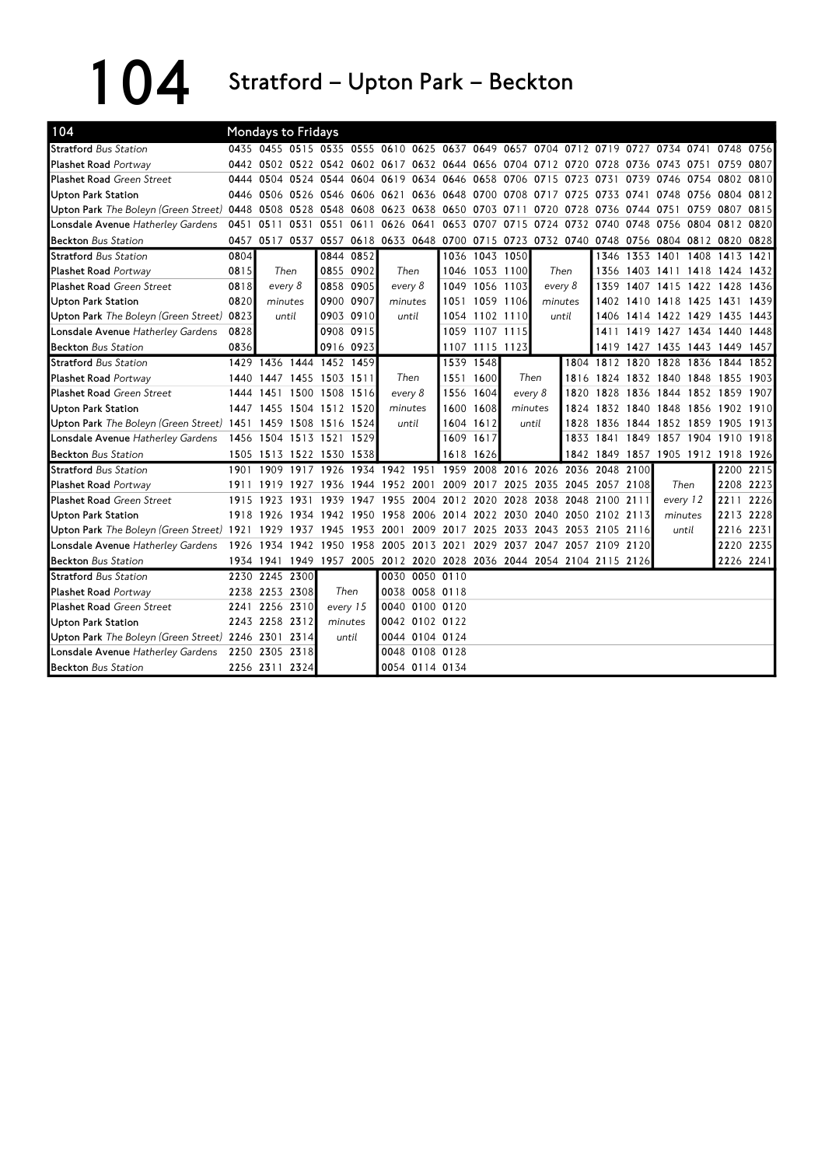104 Stratford – Upton Park – Beckton

| 104                                                           |           |                | <b>Mondays to Fridays</b> |                                                                                           |           |           |                               |                          |                |         |                |           |                                         |      |                     |      |           |      |
|---------------------------------------------------------------|-----------|----------------|---------------------------|-------------------------------------------------------------------------------------------|-----------|-----------|-------------------------------|--------------------------|----------------|---------|----------------|-----------|-----------------------------------------|------|---------------------|------|-----------|------|
| <b>Stratford</b> Bus Station                                  |           |                |                           | 0435 0455 0515 0535 0555 0610 0625 0637 0649 0657 0704 0712 0719 0727 0734 0741 0748 0756 |           |           |                               |                          |                |         |                |           |                                         |      |                     |      |           |      |
| <b>Plashet Road Portway</b>                                   |           |                |                           | 0442 0502 0522 0542 0602 0617 0632 0644 0656                                              |           |           |                               |                          |                |         |                |           | 0704 0712 0720 0728 0736 0743 0751      |      |                     |      | 0759      | 0807 |
| <b>Plashet Road</b> Green Street                              |           |                |                           | 0444 0504 0524 0544 0604                                                                  |           |           | 0619 0634 0646 0658           |                          |                |         | 0706 0715 0723 |           | 0731                                    | 0739 | 0746 0754 0802 0810 |      |           |      |
| Upton Park Station                                            |           | 0446 0506      |                           | 0526 0546 0606                                                                            |           | 0621      |                               | 0636 0648 0700 0708 0717 |                |         |                | 0725      | 0733                                    | 0741 | 0748 0756           |      | 0804 0812 |      |
| Upton Park The Boleyn (Green Street) 0448 0508                |           |                |                           | 0528 0548                                                                                 | 0608      |           | 0623 0638 0650 0703           |                          |                | 0711    |                | 0720 0728 | 0736                                    |      | 0744 0751 0759      |      | 0807 0815 |      |
| Lonsdale Avenue Hatherley Gardens                             | 0451 0511 |                | 0531                      | 0551                                                                                      | 0611      |           | 0626 0641                     |                          | 0653 0707      | 0715    |                |           | 0724 0732 0740 0748 0756 0804 0812 0820 |      |                     |      |           |      |
| <b>Beckton</b> Bus Station                                    |           |                |                           | 0457 0517 0537 0557 0618 0633 0648 0700 0715 0723 0732 0740 0748 0756 0804 0812 0820 0828 |           |           |                               |                          |                |         |                |           |                                         |      |                     |      |           |      |
| <b>Stratford Bus Station</b>                                  | 0804      |                |                           |                                                                                           | 0844 0852 |           |                               |                          | 1036 1043 1050 |         |                |           |                                         |      | 1346 1353 1401 1408 |      | 1413      | 1421 |
| <b>Plashet Road Portway</b>                                   | 0815      |                | Then                      |                                                                                           | 0855 0902 |           | Then                          |                          | 1046 1053 1100 |         | Then           |           | 1356                                    |      | 1403 1411 1418      |      | 1424 1432 |      |
| <b>Plashet Road Green Street</b>                              | 0818      | every 8        |                           |                                                                                           | 0858 0905 | every 8   |                               |                          | 1049 1056 1103 |         | every 8        |           | 1359                                    |      | 1407 1415 1422 1428 |      |           | 1436 |
| <b>Upton Park Station</b>                                     | 0820      |                | minutes                   | 0900 0907                                                                                 |           |           | minutes                       |                          | 1051 1059 1106 |         |                | minutes   |                                         |      | 1402 1410 1418 1425 |      | 1431      | 1439 |
| Upton Park The Boleyn (Green Street) 0823                     |           |                | until                     |                                                                                           | 0903 0910 |           | until                         |                          | 1054 1102 1110 |         |                | until     |                                         |      | 1406 1414 1422 1429 |      | 1435      | 1443 |
| Lonsdale Avenue Hatherley Gardens                             | 0828      |                |                           |                                                                                           | 0908 0915 |           |                               |                          | 1059 1107 1115 |         |                |           |                                         |      | 1411 1419 1427 1434 |      | 1440      | 1448 |
| <b>Beckton Bus Station</b>                                    | 0836      |                |                           | 0916 0923                                                                                 |           |           |                               |                          | 1107 1115 1123 |         |                |           | 1419                                    | 1427 | 1435 1443 1449 1457 |      |           |      |
| <b>Stratford Bus Station</b>                                  |           |                |                           | 1429 1436 1444 1452 1459                                                                  |           |           |                               |                          | 1539 1548      |         |                |           | 1804 1812 1820 1828                     |      |                     | 1836 | 1844      | 1852 |
| <b>Plashet Road Portway</b>                                   |           |                |                           | 1440 1447 1455 1503 1511                                                                  |           |           | Then                          | 1551                     | 1600           | Then    |                | 1816      | 1824 1832 1840 1848                     |      |                     |      | 1855 1903 |      |
| <b>Plashet Road Green Street</b>                              |           | 1444 1451      |                           | 1500 1508 1516                                                                            |           |           | every 8                       | 1556                     | 1604           | every 8 |                | 1820      |                                         |      | 1828 1836 1844 1852 |      | 1859 1907 |      |
| <b>Upton Park Station</b>                                     |           |                |                           | 1447 1455 1504 1512 1520                                                                  |           |           | minutes                       | 1600                     | 1608           |         | minutes        | 1874      |                                         |      | 1832 1840 1848 1856 |      | 1902 1910 |      |
| Upton Park The Boleyn (Green Street) 1451 1459 1508 1516 1524 |           |                |                           |                                                                                           |           |           | until                         | 1604                     | 1612           | until   |                | 1828      |                                         |      | 1836 1844 1852 1859 |      | 1905 1913 |      |
| Lonsdale Avenue Hatherley Gardens                             |           |                | 1456 1504 1513 1521       |                                                                                           | 1529      |           |                               | 1609                     | 1617           |         |                |           | 1833 1841 1849                          |      | 1857 1904 1910 1918 |      |           |      |
| <b>Beckton</b> Bus Station                                    |           |                |                           | 1505 1513 1522 1530                                                                       | 1538      |           |                               |                          | 1618 1626      |         |                |           | 1842 1849 1857 1905 1912 1918 1926      |      |                     |      |           |      |
| <b>Stratford</b> Bus Station                                  | 1901      | 1909           | 1917                      | 1926                                                                                      |           | 1934 1942 | 1951                          | 1959                     | 2008           | 2016    |                | 2026 2036 | 2048 2100                               |      |                     |      | 2200      | 2215 |
| <b>Plashet Road Portway</b>                                   | 1911      | 1919           |                           | 1927 1936 1944 1952 2001                                                                  |           |           |                               |                          | 2009 2017      |         | 2025 2035 2045 |           | 2057 2108                               |      | Then                |      | 2208 2223 |      |
| <b>Plashet Road Green Street</b>                              | 1915      | 1923           | 1931                      | 1939                                                                                      | 1947      | 1955      | 2004                          |                          | 2012 2020      |         | 2028 2038 2048 |           | 2100 2111                               |      | every 12            |      | 2211      | 2226 |
| <b>Upton Park Station</b>                                     |           |                |                           | 1918 1926 1934 1942                                                                       | 1950      | 1958      | 2006 2014 2022 2030 2040 2050 |                          |                |         |                |           | 2102 2113                               |      | minutes             |      | 2213 2228 |      |
| Upton Park The Boleyn (Green Street) 1921 1929                |           |                | 1937                      | 1945                                                                                      | 1953      | 2001      | 2009                          | 2017 2025                |                |         | 2033 2043 2053 |           | 2105 2116                               |      | until               |      | 2216 2231 |      |
| Lonsdale Avenue Hatherley Gardens                             |           |                |                           | 1926 1934 1942 1950                                                                       | 1958      | 2005      | 2013 2021                     |                          | 2029           | 2037    | 2047           |           | 2057 2109 2120                          |      |                     |      | 2220 2235 |      |
| <b>Beckton Bus Station</b>                                    |           |                |                           | 1934 1941 1949 1957 2005 2012 2020 2028 2036 2044 2054 2104 2115 2126                     |           |           |                               |                          |                |         |                |           |                                         |      |                     |      | 2226 2241 |      |
| <b>Stratford Bus Station</b>                                  |           |                | 2230 2245 2300            |                                                                                           |           |           | 0030 0050 0110                |                          |                |         |                |           |                                         |      |                     |      |           |      |
| <b>Plashet Road Portway</b>                                   |           | 2238 2253 2308 |                           | Then                                                                                      |           |           | 0038 0058 0118                |                          |                |         |                |           |                                         |      |                     |      |           |      |
| <b>Plashet Road Green Street</b>                              |           | 2241 2256 2310 |                           | every 15                                                                                  |           |           | 0040 0100 0120                |                          |                |         |                |           |                                         |      |                     |      |           |      |
| <b>Upton Park Station</b>                                     |           | 2243 2258 2312 |                           | minutes                                                                                   |           |           | 0042 0102 0122                |                          |                |         |                |           |                                         |      |                     |      |           |      |
| Upton Park The Boleyn (Green Street) 2246 2301 2314           |           |                |                           | until                                                                                     |           |           | 0044 0104 0124                |                          |                |         |                |           |                                         |      |                     |      |           |      |
| Lonsdale Avenue Hatherley Gardens 2250 2305 2318              |           |                |                           |                                                                                           |           |           | 0048 0108 0128                |                          |                |         |                |           |                                         |      |                     |      |           |      |
| <b>Beckton Bus Station</b>                                    |           | 2256 2311 2324 |                           |                                                                                           |           |           | 0054 0114 0134                |                          |                |         |                |           |                                         |      |                     |      |           |      |